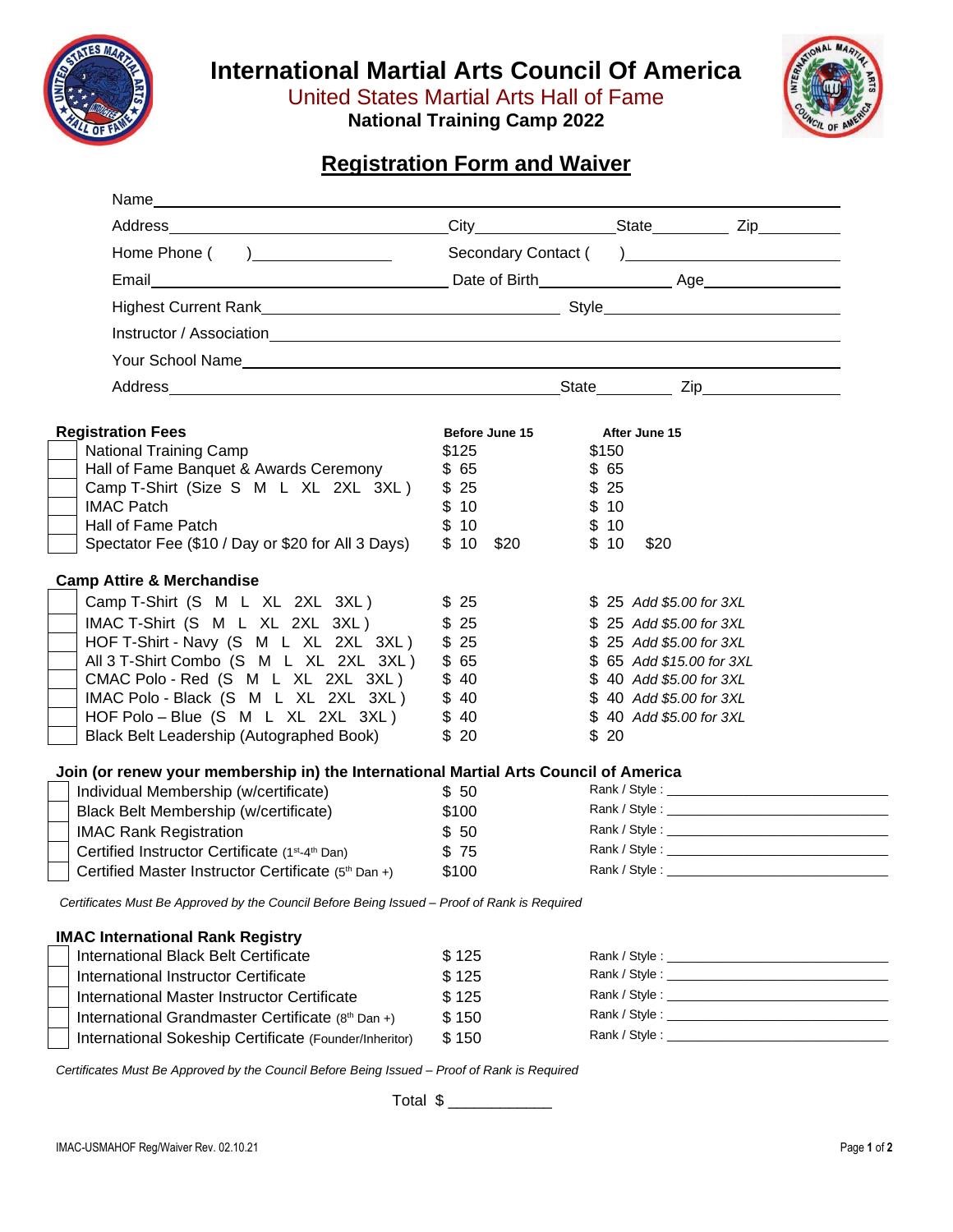

**International Martial Arts Council Of America**

United States Martial Arts Hall of Fame

**National Training Camp 2022**



# **Registration Form and Waiver**

| Name experience and the second contract of the second contract of the second contract of the second contract of the second contract of the second contract of the second contract of the second contract of the second contrac |                          |                           |
|--------------------------------------------------------------------------------------------------------------------------------------------------------------------------------------------------------------------------------|--------------------------|---------------------------|
|                                                                                                                                                                                                                                |                          |                           |
|                                                                                                                                                                                                                                |                          |                           |
| Email                                                                                                                                                                                                                          |                          |                           |
|                                                                                                                                                                                                                                |                          |                           |
|                                                                                                                                                                                                                                |                          |                           |
| Your School Name                                                                                                                                                                                                               |                          |                           |
|                                                                                                                                                                                                                                |                          |                           |
|                                                                                                                                                                                                                                |                          |                           |
| <b>Registration Fees</b>                                                                                                                                                                                                       | Before June 15           | After June 15             |
| <b>National Training Camp</b>                                                                                                                                                                                                  | \$125                    | \$150                     |
| Hall of Fame Banquet & Awards Ceremony                                                                                                                                                                                         | \$65                     | \$65                      |
| Camp T-Shirt (Size S M L XL 2XL 3XL)                                                                                                                                                                                           | \$25                     | \$25                      |
| <b>IMAC Patch</b>                                                                                                                                                                                                              | \$10                     | \$10                      |
| Hall of Fame Patch                                                                                                                                                                                                             | \$10                     | \$10                      |
| Spectator Fee (\$10 / Day or \$20 for All 3 Days)                                                                                                                                                                              | $$10$ \$20               | \$10<br>\$20              |
| <b>Camp Attire &amp; Merchandise</b>                                                                                                                                                                                           |                          |                           |
| Camp T-Shirt (S M L XL 2XL 3XL)                                                                                                                                                                                                | \$25                     | \$ 25 Add \$5.00 for 3XL  |
| IMAC T-Shirt (S M L XL 2XL 3XL)                                                                                                                                                                                                | \$25                     | \$ 25 Add \$5.00 for 3XL  |
| HOF T-Shirt - Navy (S M L XL 2XL 3XL)                                                                                                                                                                                          | \$25                     | \$ 25 Add \$5.00 for 3XL  |
| All 3 T-Shirt Combo (S M L XL 2XL 3XL)                                                                                                                                                                                         | \$65                     | \$ 65 Add \$15.00 for 3XL |
| CMAC Polo - Red (S M L XL 2XL 3XL)                                                                                                                                                                                             | \$40                     | \$40 Add \$5.00 for 3XL   |
| IMAC Polo - Black (S M L XL 2XL 3XL)                                                                                                                                                                                           | \$40                     | \$40 Add \$5.00 for 3XL   |
| HOF Polo – Blue (S M L XL 2XL 3XL)                                                                                                                                                                                             | \$40                     | \$40 Add \$5.00 for 3XL   |
| Black Belt Leadership (Autographed Book)                                                                                                                                                                                       | \$20                     | \$20                      |
| Join (or renew your membership in) the International Martial Arts Council of America                                                                                                                                           |                          |                           |
| Individual Membership (w/certificate)                                                                                                                                                                                          | \$50                     |                           |
| Black Belt Membership (w/certificate)                                                                                                                                                                                          | \$100                    |                           |
| <b>IMAC Rank Registration</b>                                                                                                                                                                                                  | \$50                     |                           |
| Certified Instructor Certificate (1st-4th Dan)                                                                                                                                                                                 | \$75                     |                           |
| Certified Master Instructor Certificate (5th Dan +)                                                                                                                                                                            | \$100                    |                           |
| Certificates Must Be Approved by the Council Before Being Issued - Proof of Rank is Required                                                                                                                                   |                          |                           |
| <b>IMAC International Rank Registry</b>                                                                                                                                                                                        |                          |                           |
| International Black Belt Certificate                                                                                                                                                                                           | \$125                    |                           |
| International Instructor Certificate                                                                                                                                                                                           | \$125                    |                           |
| International Master Instructor Certificate                                                                                                                                                                                    | \$125                    |                           |
| International Grandmaster Certificate (8th Dan +)                                                                                                                                                                              | \$150                    |                           |
| International Sokeship Certificate (Founder/Inheritor)                                                                                                                                                                         | \$150                    |                           |
| Certificates Must Be Approved by the Council Before Being Issued - Proof of Rank is Required                                                                                                                                   |                          |                           |
|                                                                                                                                                                                                                                | Total \$ _______________ |                           |
|                                                                                                                                                                                                                                |                          |                           |
| IMAC-USMAHOF Reg/Waiver Rev. 02.10.21                                                                                                                                                                                          |                          | Page 1 of 2               |